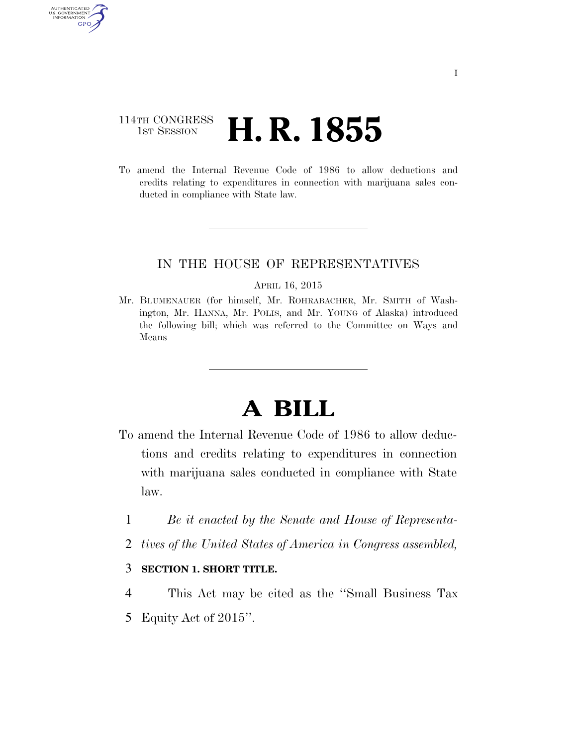### 114TH CONGRESS <sup>TH CONGRESS</sup> **H. R. 1855**

AUTHENTICATED U.S. GOVERNMENT GPO

> To amend the Internal Revenue Code of 1986 to allow deductions and credits relating to expenditures in connection with marijuana sales conducted in compliance with State law.

### IN THE HOUSE OF REPRESENTATIVES

#### APRIL 16, 2015

Mr. BLUMENAUER (for himself, Mr. ROHRABACHER, Mr. SMITH of Washington, Mr. HANNA, Mr. POLIS, and Mr. YOUNG of Alaska) introduced the following bill; which was referred to the Committee on Ways and Means

# **A BILL**

- To amend the Internal Revenue Code of 1986 to allow deductions and credits relating to expenditures in connection with marijuana sales conducted in compliance with State law.
	- 1 *Be it enacted by the Senate and House of Representa-*
	- 2 *tives of the United States of America in Congress assembled,*

### 3 **SECTION 1. SHORT TITLE.**

4 This Act may be cited as the ''Small Business Tax 5 Equity Act of 2015''.